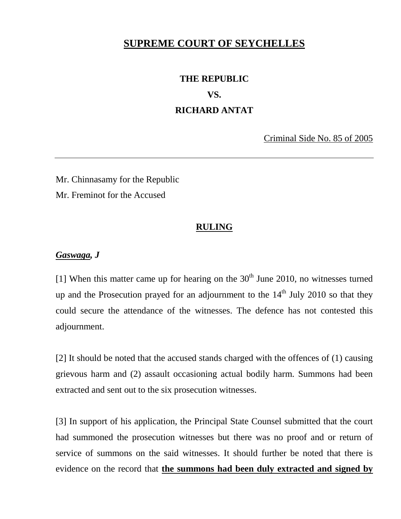## **SUPREME COURT OF SEYCHELLES**

## **THE REPUBLIC VS. RICHARD ANTAT**

Criminal Side No. 85 of 2005

Mr. Chinnasamy for the Republic Mr. Freminot for the Accused

## **RULING**

## *Gaswaga, J*

[1] When this matter came up for hearing on the  $30<sup>th</sup>$  June 2010, no witnesses turned up and the Prosecution prayed for an adjournment to the  $14<sup>th</sup>$  July 2010 so that they could secure the attendance of the witnesses. The defence has not contested this adjournment.

[2] It should be noted that the accused stands charged with the offences of (1) causing grievous harm and (2) assault occasioning actual bodily harm. Summons had been extracted and sent out to the six prosecution witnesses.

[3] In support of his application, the Principal State Counsel submitted that the court had summoned the prosecution witnesses but there was no proof and or return of service of summons on the said witnesses. It should further be noted that there is evidence on the record that **the summons had been duly extracted and signed by**